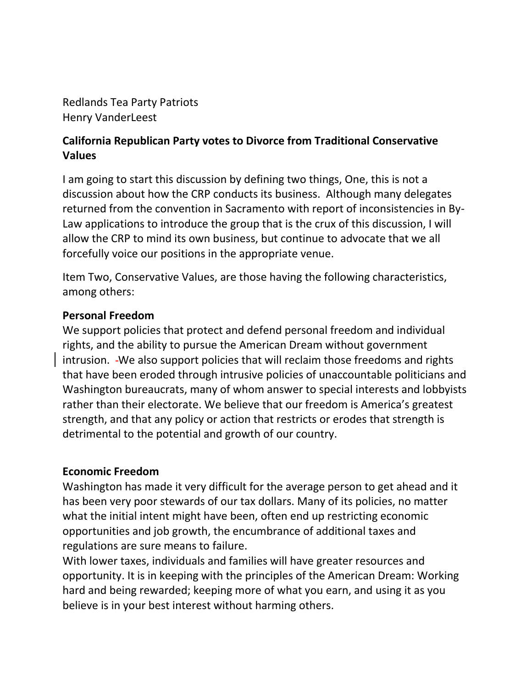Redlands Tea Party Patriots Henry VanderLeest

## **California Republican Party votes to Divorce from Traditional Conservative Values**

I am going to start this discussion by defining two things, One, this is not a discussion about how the CRP conducts its business. Although many delegates returned from the convention in Sacramento with report of inconsistencies in By-Law applications to introduce the group that is the crux of this discussion, I will allow the CRP to mind its own business, but continue to advocate that we all forcefully voice our positions in the appropriate venue.

Item Two, Conservative Values, are those having the following characteristics, among others:

## **Personal Freedom**

We support policies that protect and defend personal freedom and individual rights, and the ability to pursue the American Dream without government intrusion. We also support policies that will reclaim those freedoms and rights that have been eroded through intrusive policies of unaccountable politicians and Washington bureaucrats, many of whom answer to special interests and lobbyists rather than their electorate. We believe that our freedom is America's greatest strength, and that any policy or action that restricts or erodes that strength is detrimental to the potential and growth of our country.

## **Economic Freedom**

Washington has made it very difficult for the average person to get ahead and it has been very poor stewards of our tax dollars. Many of its policies, no matter what the initial intent might have been, often end up restricting economic opportunities and job growth, the encumbrance of additional taxes and regulations are sure means to failure.

With lower taxes, individuals and families will have greater resources and opportunity. It is in keeping with the principles of the American Dream: Working hard and being rewarded; keeping more of what you earn, and using it as you believe is in your best interest without harming others.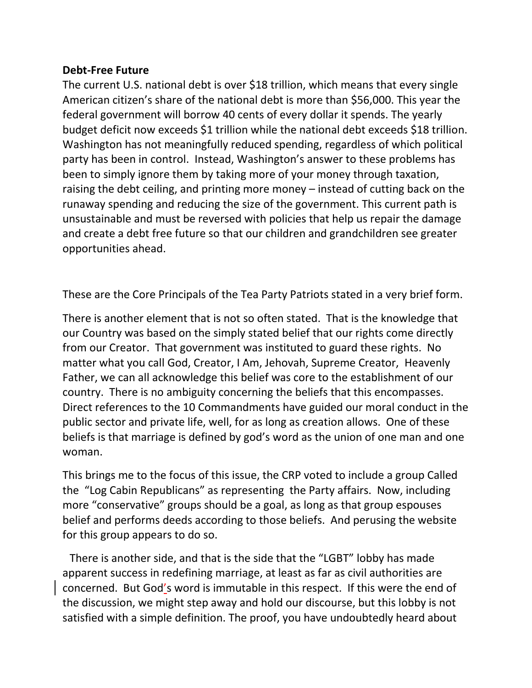## **Debt-Free Future**

The current U.S. national debt is over \$18 trillion, which means that every single American citizen's share of the national debt is more than \$56,000. This year the federal government will borrow 40 cents of every dollar it spends. The yearly budget deficit now exceeds \$1 trillion while the national debt exceeds \$18 trillion. Washington has not meaningfully reduced spending, regardless of which political party has been in control. Instead, Washington's answer to these problems has been to simply ignore them by taking more of your money through taxation, raising the debt ceiling, and printing more money – instead of cutting back on the runaway spending and reducing the size of the government. This current path is unsustainable and must be reversed with policies that help us repair the damage and create a debt free future so that our children and grandchildren see greater opportunities ahead.

These are the Core Principals of the Tea Party Patriots stated in a very brief form.

There is another element that is not so often stated. That is the knowledge that our Country was based on the simply stated belief that our rights come directly from our Creator. That government was instituted to guard these rights. No matter what you call God, Creator, I Am, Jehovah, Supreme Creator, Heavenly Father, we can all acknowledge this belief was core to the establishment of our country. There is no ambiguity concerning the beliefs that this encompasses. Direct references to the 10 Commandments have guided our moral conduct in the public sector and private life, well, for as long as creation allows. One of these beliefs is that marriage is defined by god's word as the union of one man and one woman.

This brings me to the focus of this issue, the CRP voted to include a group Called the "Log Cabin Republicans" as representing the Party affairs. Now, including more "conservative" groups should be a goal, as long as that group espouses belief and performs deeds according to those beliefs. And perusing the website for this group appears to do so.

 There is another side, and that is the side that the "LGBT" lobby has made apparent success in redefining marriage, at least as far as civil authorities are concerned. But God's word is immutable in this respect. If this were the end of the discussion, we might step away and hold our discourse, but this lobby is not satisfied with a simple definition. The proof, you have undoubtedly heard about